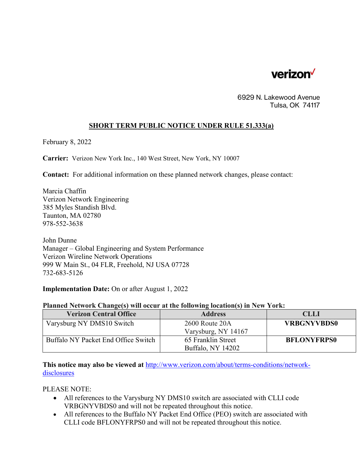

6929 N. Lakewood Avenue Tulsa, OK 74117

## **SHORT TERM PUBLIC NOTICE UNDER RULE 51.333(a)**

February 8, 2022

**Carrier:** Verizon New York Inc., 140 West Street, New York, NY 10007

**Contact:** For additional information on these planned network changes, please contact:

Marcia Chaffin Verizon Network Engineering 385 Myles Standish Blvd. Taunton, MA 02780 978-552-3638

John Dunne Manager – Global Engineering and System Performance Verizon Wireline Network Operations 999 W Main St., 04 FLR, Freehold, NJ USA 07728 732-683-5126

**Implementation Date:** On or after August 1, 2022

## **Planned Network Change(s) will occur at the following location(s) in New York:**

| <b>Verizon Central Office</b>       | <b>Address</b>      | <b>CLLI</b>        |
|-------------------------------------|---------------------|--------------------|
| Varysburg NY DMS10 Switch           | 2600 Route 20A      | <b>VRBGNYVBDS0</b> |
|                                     | Varysburg, NY 14167 |                    |
| Buffalo NY Packet End Office Switch | 65 Franklin Street  | <b>BFLONYFRPS0</b> |
|                                     | Buffalo, NY 14202   |                    |

**This notice may also be viewed at** <http://www.verizon.com/about/terms-conditions/network>disclosures

PLEASE NOTE:

- All references to the Varysburg NY DMS10 switch are associated with CLLI code VRBGNYVBDS0 and will not be repeated throughout this notice.
- All references to the Buffalo NY Packet End Office (PEO) switch are associated with CLLI code BFLONYFRPS0 and will not be repeated throughout this notice.